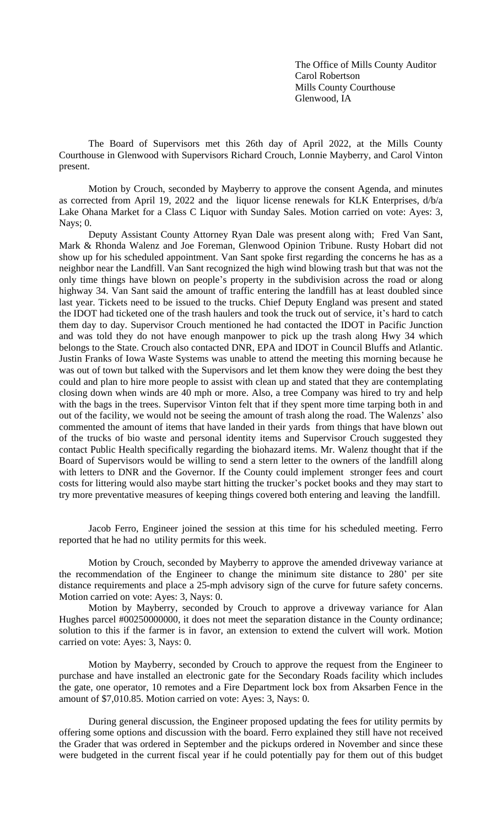The Office of Mills County Auditor Carol Robertson Mills County Courthouse Glenwood, IA

The Board of Supervisors met this 26th day of April 2022, at the Mills County Courthouse in Glenwood with Supervisors Richard Crouch, Lonnie Mayberry, and Carol Vinton present.

Motion by Crouch, seconded by Mayberry to approve the consent Agenda, and minutes as corrected from April 19, 2022 and the liquor license renewals for KLK Enterprises, d/b/a Lake Ohana Market for a Class C Liquor with Sunday Sales. Motion carried on vote: Ayes: 3, Nays; 0.

Deputy Assistant County Attorney Ryan Dale was present along with; Fred Van Sant, Mark & Rhonda Walenz and Joe Foreman, Glenwood Opinion Tribune. Rusty Hobart did not show up for his scheduled appointment. Van Sant spoke first regarding the concerns he has as a neighbor near the Landfill. Van Sant recognized the high wind blowing trash but that was not the only time things have blown on people's property in the subdivision across the road or along highway 34. Van Sant said the amount of traffic entering the landfill has at least doubled since last year. Tickets need to be issued to the trucks. Chief Deputy England was present and stated the IDOT had ticketed one of the trash haulers and took the truck out of service, it's hard to catch them day to day. Supervisor Crouch mentioned he had contacted the IDOT in Pacific Junction and was told they do not have enough manpower to pick up the trash along Hwy 34 which belongs to the State. Crouch also contacted DNR, EPA and IDOT in Council Bluffs and Atlantic. Justin Franks of Iowa Waste Systems was unable to attend the meeting this morning because he was out of town but talked with the Supervisors and let them know they were doing the best they could and plan to hire more people to assist with clean up and stated that they are contemplating closing down when winds are 40 mph or more. Also, a tree Company was hired to try and help with the bags in the trees. Supervisor Vinton felt that if they spent more time tarping both in and out of the facility, we would not be seeing the amount of trash along the road. The Walenzs' also commented the amount of items that have landed in their yards from things that have blown out of the trucks of bio waste and personal identity items and Supervisor Crouch suggested they contact Public Health specifically regarding the biohazard items. Mr. Walenz thought that if the Board of Supervisors would be willing to send a stern letter to the owners of the landfill along with letters to DNR and the Governor. If the County could implement stronger fees and court costs for littering would also maybe start hitting the trucker's pocket books and they may start to try more preventative measures of keeping things covered both entering and leaving the landfill.

Jacob Ferro, Engineer joined the session at this time for his scheduled meeting. Ferro reported that he had no utility permits for this week.

Motion by Crouch, seconded by Mayberry to approve the amended driveway variance at the recommendation of the Engineer to change the minimum site distance to 280' per site distance requirements and place a 25-mph advisory sign of the curve for future safety concerns. Motion carried on vote: Ayes: 3, Nays: 0.

Motion by Mayberry, seconded by Crouch to approve a driveway variance for Alan Hughes parcel #00250000000, it does not meet the separation distance in the County ordinance; solution to this if the farmer is in favor, an extension to extend the culvert will work. Motion carried on vote: Ayes: 3, Nays: 0.

Motion by Mayberry, seconded by Crouch to approve the request from the Engineer to purchase and have installed an electronic gate for the Secondary Roads facility which includes the gate, one operator, 10 remotes and a Fire Department lock box from Aksarben Fence in the amount of \$7,010.85. Motion carried on vote: Ayes: 3, Nays: 0.

During general discussion, the Engineer proposed updating the fees for utility permits by offering some options and discussion with the board. Ferro explained they still have not received the Grader that was ordered in September and the pickups ordered in November and since these were budgeted in the current fiscal year if he could potentially pay for them out of this budget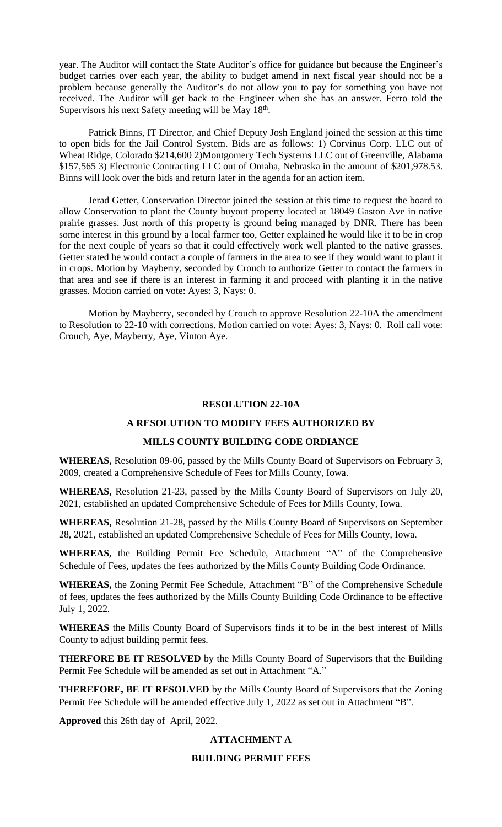year. The Auditor will contact the State Auditor's office for guidance but because the Engineer's budget carries over each year, the ability to budget amend in next fiscal year should not be a problem because generally the Auditor's do not allow you to pay for something you have not received. The Auditor will get back to the Engineer when she has an answer. Ferro told the Supervisors his next Safety meeting will be May 18th.

Patrick Binns, IT Director, and Chief Deputy Josh England joined the session at this time to open bids for the Jail Control System. Bids are as follows: 1) Corvinus Corp. LLC out of Wheat Ridge, Colorado \$214,600 2)Montgomery Tech Systems LLC out of Greenville, Alabama \$157,565 3) Electronic Contracting LLC out of Omaha, Nebraska in the amount of \$201,978.53. Binns will look over the bids and return later in the agenda for an action item.

Jerad Getter, Conservation Director joined the session at this time to request the board to allow Conservation to plant the County buyout property located at 18049 Gaston Ave in native prairie grasses. Just north of this property is ground being managed by DNR. There has been some interest in this ground by a local farmer too, Getter explained he would like it to be in crop for the next couple of years so that it could effectively work well planted to the native grasses. Getter stated he would contact a couple of farmers in the area to see if they would want to plant it in crops. Motion by Mayberry, seconded by Crouch to authorize Getter to contact the farmers in that area and see if there is an interest in farming it and proceed with planting it in the native grasses. Motion carried on vote: Ayes: 3, Nays: 0.

Motion by Mayberry, seconded by Crouch to approve Resolution 22-10A the amendment to Resolution to 22-10 with corrections. Motion carried on vote: Ayes: 3, Nays: 0. Roll call vote: Crouch, Aye, Mayberry, Aye, Vinton Aye.

#### **RESOLUTION 22-10A**

# **A RESOLUTION TO MODIFY FEES AUTHORIZED BY**

## **MILLS COUNTY BUILDING CODE ORDIANCE**

**WHEREAS,** Resolution 09-06, passed by the Mills County Board of Supervisors on February 3, 2009, created a Comprehensive Schedule of Fees for Mills County, Iowa.

**WHEREAS,** Resolution 21-23, passed by the Mills County Board of Supervisors on July 20, 2021, established an updated Comprehensive Schedule of Fees for Mills County, Iowa.

**WHEREAS,** Resolution 21-28, passed by the Mills County Board of Supervisors on September 28, 2021, established an updated Comprehensive Schedule of Fees for Mills County, Iowa.

**WHEREAS,** the Building Permit Fee Schedule, Attachment "A" of the Comprehensive Schedule of Fees, updates the fees authorized by the Mills County Building Code Ordinance.

**WHEREAS,** the Zoning Permit Fee Schedule, Attachment "B" of the Comprehensive Schedule of fees, updates the fees authorized by the Mills County Building Code Ordinance to be effective July 1, 2022.

**WHEREAS** the Mills County Board of Supervisors finds it to be in the best interest of Mills County to adjust building permit fees.

**THERFORE BE IT RESOLVED** by the Mills County Board of Supervisors that the Building Permit Fee Schedule will be amended as set out in Attachment "A."

**THEREFORE, BE IT RESOLVED** by the Mills County Board of Supervisors that the Zoning Permit Fee Schedule will be amended effective July 1, 2022 as set out in Attachment "B".

**Approved** this 26th day of April, 2022.

### **ATTACHMENT A**

### **BUILDING PERMIT FEES**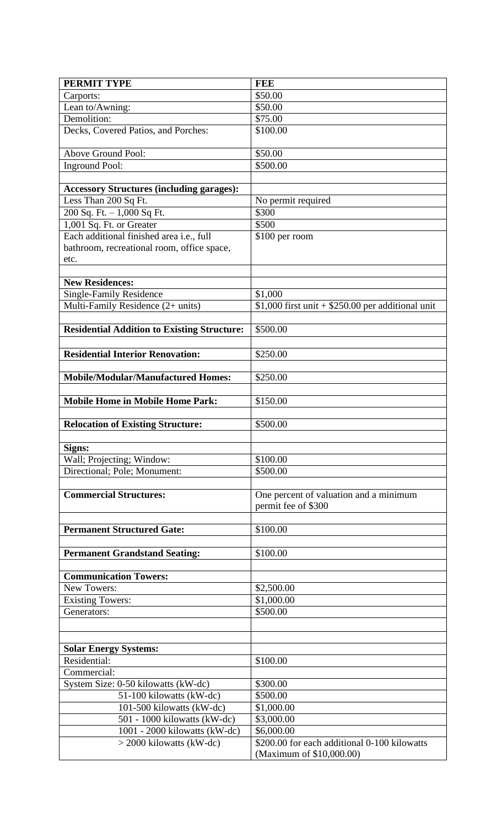| PERMIT TYPE                                        | <b>FEE</b>                                                    |
|----------------------------------------------------|---------------------------------------------------------------|
| Carports:                                          | \$50.00                                                       |
| Lean to/Awning:                                    | \$50.00                                                       |
| Demolition:                                        | \$75.00                                                       |
| Decks, Covered Patios, and Porches:                | \$100.00                                                      |
| Above Ground Pool:                                 | \$50.00                                                       |
| <b>Inground Pool:</b>                              | $\overline{$}500.00$                                          |
|                                                    |                                                               |
| <b>Accessory Structures (including garages):</b>   |                                                               |
| Less Than 200 Sq Ft.                               | No permit required                                            |
| 200 Sq. Ft. - 1,000 Sq Ft.                         | \$300                                                         |
| 1,001 Sq. Ft. or Greater                           | \$500                                                         |
| Each additional finished area i.e., full           | $$100$ per room                                               |
| bathroom, recreational room, office space,         |                                                               |
| etc.                                               |                                                               |
| <b>New Residences:</b>                             |                                                               |
| <b>Single-Family Residence</b>                     | \$1,000                                                       |
| Multi-Family Residence (2+ units)                  | $$1,000$ first unit + \$250.00 per additional unit            |
|                                                    |                                                               |
| <b>Residential Addition to Existing Structure:</b> | \$500.00                                                      |
|                                                    |                                                               |
| <b>Residential Interior Renovation:</b>            | \$250.00                                                      |
| <b>Mobile/Modular/Manufactured Homes:</b>          |                                                               |
|                                                    | \$250.00                                                      |
| <b>Mobile Home in Mobile Home Park:</b>            | \$150.00                                                      |
|                                                    |                                                               |
| <b>Relocation of Existing Structure:</b>           | \$500.00                                                      |
|                                                    |                                                               |
| Signs:                                             |                                                               |
| Wall; Projecting; Window:                          | \$100.00                                                      |
| Directional; Pole; Monument:                       | \$500.00                                                      |
| <b>Commercial Structures:</b>                      | One percent of valuation and a minimum<br>permit fee of \$300 |
|                                                    |                                                               |
| <b>Permanent Structured Gate:</b>                  | \$100.00                                                      |
|                                                    |                                                               |
| <b>Permanent Grandstand Seating:</b>               | \$100.00                                                      |
| <b>Communication Towers:</b>                       |                                                               |
| New Towers:                                        | \$2,500.00                                                    |
| <b>Existing Towers:</b>                            | \$1,000.00                                                    |
| Generators:                                        | \$500.00                                                      |
|                                                    |                                                               |
|                                                    |                                                               |
| <b>Solar Energy Systems:</b>                       |                                                               |
| Residential:                                       | \$100.00                                                      |
| Commercial:                                        |                                                               |
| System Size: 0-50 kilowatts (kW-dc)                | \$300.00                                                      |
| 51-100 kilowatts (kW-dc)                           | \$500.00                                                      |
| 101-500 kilowatts (kW-dc)                          | \$1,000.00                                                    |
| 501 - 1000 kilowatts (kW-dc)                       | \$3,000.00                                                    |
| 1001 - 2000 kilowatts (kW-dc)                      | \$6,000.00                                                    |
| $>$ 2000 kilowatts (kW-dc)                         | \$200.00 for each additional 0-100 kilowatts                  |
|                                                    | (Maximum of \$10,000.00)                                      |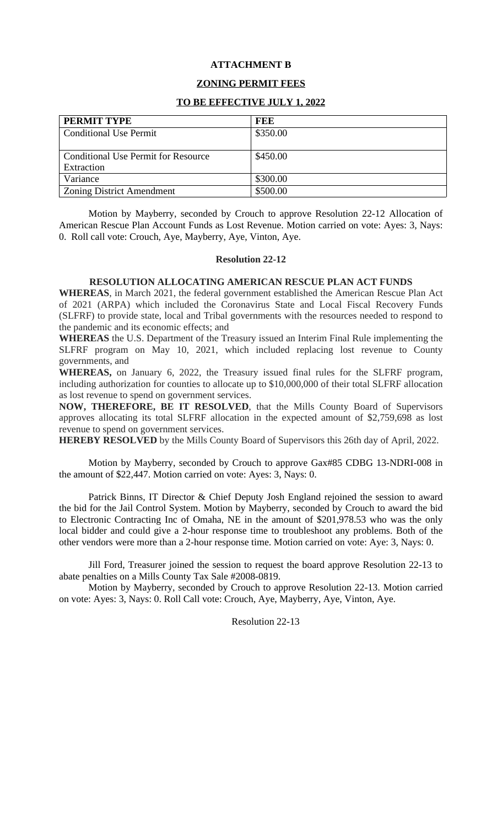### **ATTACHMENT B**

# **ZONING PERMIT FEES**

### **TO BE EFFECTIVE JULY 1, 2022**

| PERMIT TYPE                                | FEE      |
|--------------------------------------------|----------|
| <b>Conditional Use Permit</b>              | \$350.00 |
|                                            |          |
| <b>Conditional Use Permit for Resource</b> | \$450.00 |
| Extraction                                 |          |
| Variance                                   | \$300.00 |
| <b>Zoning District Amendment</b>           | \$500.00 |

Motion by Mayberry, seconded by Crouch to approve Resolution 22-12 Allocation of American Rescue Plan Account Funds as Lost Revenue. Motion carried on vote: Ayes: 3, Nays: 0. Roll call vote: Crouch, Aye, Mayberry, Aye, Vinton, Aye.

#### **Resolution 22-12**

#### **RESOLUTION ALLOCATING AMERICAN RESCUE PLAN ACT FUNDS**

**WHEREAS**, in March 2021, the federal government established the American Rescue Plan Act of 2021 (ARPA) which included the Coronavirus State and Local Fiscal Recovery Funds (SLFRF) to provide state, local and Tribal governments with the resources needed to respond to the pandemic and its economic effects; and

**WHEREAS** the U.S. Department of the Treasury issued an Interim Final Rule implementing the SLFRF program on May 10, 2021, which included replacing lost revenue to County governments, and

**WHEREAS,** on January 6, 2022, the Treasury issued final rules for the SLFRF program, including authorization for counties to allocate up to \$10,000,000 of their total SLFRF allocation as lost revenue to spend on government services.

**NOW, THEREFORE, BE IT RESOLVED**, that the Mills County Board of Supervisors approves allocating its total SLFRF allocation in the expected amount of \$2,759,698 as lost revenue to spend on government services.

**HEREBY RESOLVED** by the Mills County Board of Supervisors this 26th day of April, 2022.

Motion by Mayberry, seconded by Crouch to approve Gax#85 CDBG 13-NDRI-008 in the amount of \$22,447. Motion carried on vote: Ayes: 3, Nays: 0.

Patrick Binns, IT Director & Chief Deputy Josh England rejoined the session to award the bid for the Jail Control System. Motion by Mayberry, seconded by Crouch to award the bid to Electronic Contracting Inc of Omaha, NE in the amount of \$201,978.53 who was the only local bidder and could give a 2-hour response time to troubleshoot any problems. Both of the other vendors were more than a 2-hour response time. Motion carried on vote: Aye: 3, Nays: 0.

Jill Ford, Treasurer joined the session to request the board approve Resolution 22-13 to abate penalties on a Mills County Tax Sale #2008-0819.

Motion by Mayberry, seconded by Crouch to approve Resolution 22-13. Motion carried on vote: Ayes: 3, Nays: 0. Roll Call vote: Crouch, Aye, Mayberry, Aye, Vinton, Aye.

Resolution 22-13